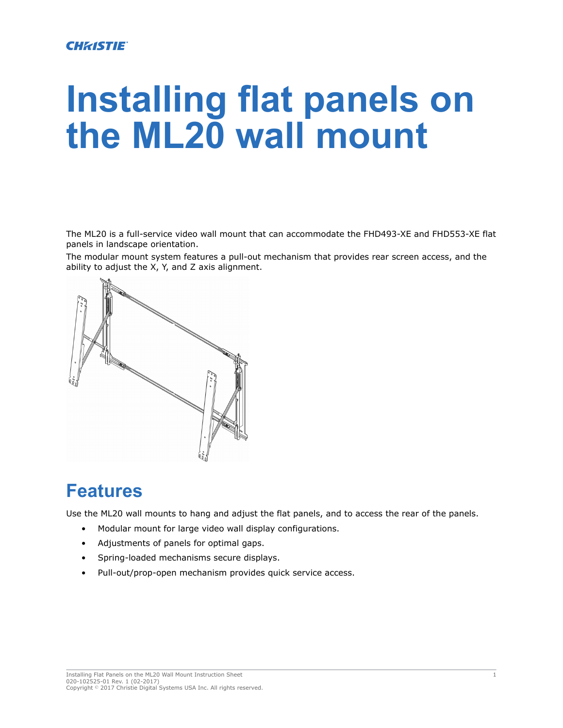#### **CHRISTIE®**

# **Installing flat panels on the ML20 wall mount**

The ML20 is a full-service video wall mount that can accommodate the FHD493-XE and FHD553-XE flat panels in landscape orientation.

The modular mount system features a pull-out mechanism that provides rear screen access, and the ability to adjust the X, Y, and Z axis alignment.



## **Features**

Use the ML20 wall mounts to hang and adjust the flat panels, and to access the rear of the panels.

- Modular mount for large video wall display configurations.
- Adjustments of panels for optimal gaps.
- Spring-loaded mechanisms secure displays.
- Pull-out/prop-open mechanism provides quick service access.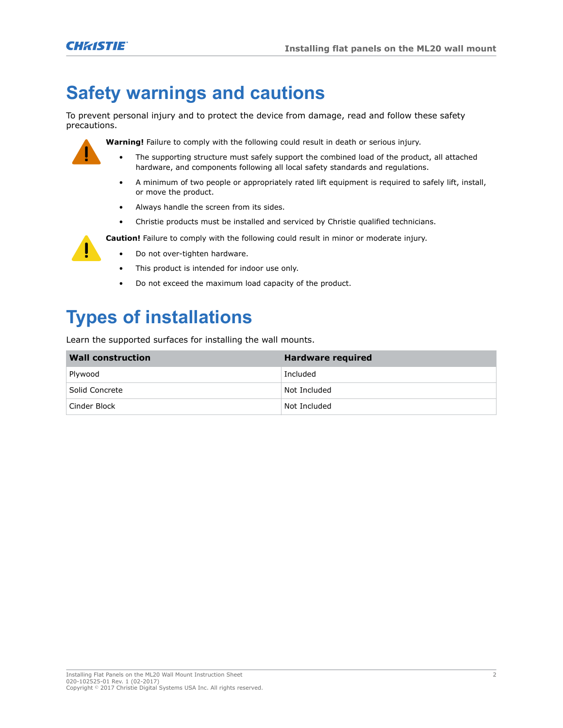## **Safety warnings and cautions**

To prevent personal injury and to protect the device from damage, read and follow these safety precautions.



**Warning!** Failure to comply with the following could result in death or serious injury.

- The supporting structure must safely support the combined load of the product, all attached hardware, and components following all local safety standards and regulations.
- A minimum of two people or appropriately rated lift equipment is required to safely lift, install, or move the product.
- Always handle the screen from its sides.
- Christie products must be installed and serviced by Christie qualified technicians.

**Caution!** Failure to comply with the following could result in minor or moderate injury.

- Do not over-tighten hardware.
- This product is intended for indoor use only.
- Do not exceed the maximum load capacity of the product.

# **Types of installations**

Learn the supported surfaces for installing the wall mounts.

| <b>Wall construction</b> | Hardware required |
|--------------------------|-------------------|
| Plywood                  | Included          |
| Solid Concrete           | Not Included      |
| Cinder Block             | Not Included      |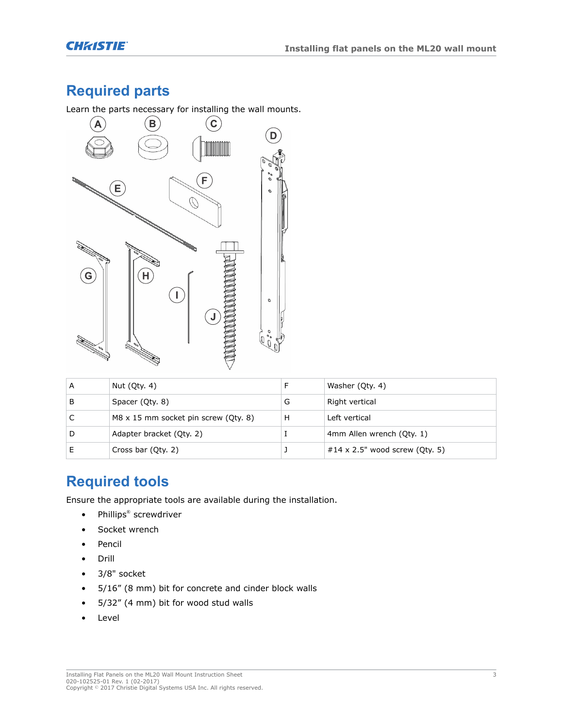## **Required parts**

Learn the parts necessary for installing the wall mounts.



| А | Nut (Qty. 4)                         |   | Washer (Oty. 4)                |
|---|--------------------------------------|---|--------------------------------|
| В | Spacer (Qty. 8)                      | G | Right vertical                 |
|   | M8 x 15 mm socket pin screw (Qty. 8) | н | Left vertical                  |
| D | Adapter bracket (Qty. 2)             |   | 4mm Allen wrench (Oty. 1)      |
|   | Cross bar (Qty. 2)                   |   | #14 x 2.5" wood screw (Oty. 5) |

#### **Required tools**

Ensure the appropriate tools are available during the installation.

- Phillips® screwdriver
- Socket wrench
- Pencil
- Drill
- 3/8" socket
- 5/16" (8 mm) bit for concrete and cinder block walls
- 5/32" (4 mm) bit for wood stud walls
- Level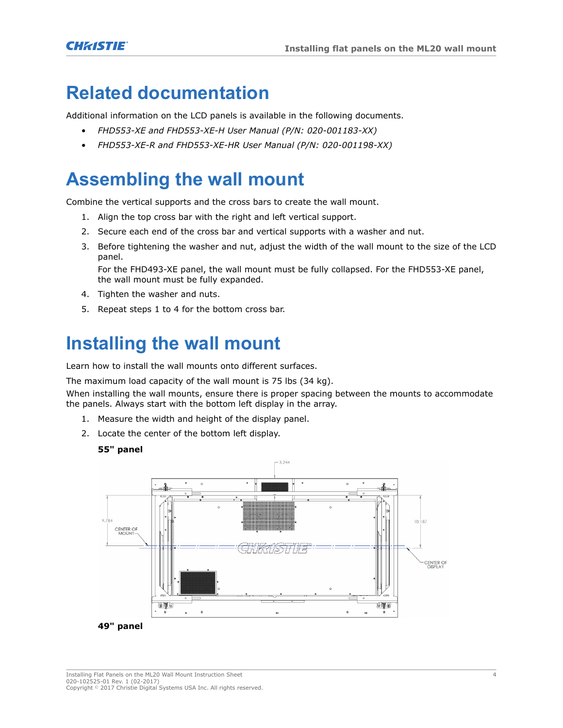## **Related documentation**

Additional information on the LCD panels is available in the following documents.

- *FHD553-XE and FHD553-XE-H User Manual (P/N: 020-001183-XX)*
- *FHD553-XE-R and FHD553-XE-HR User Manual (P/N: 020-001198-XX)*

## **Assembling the wall mount**

Combine the vertical supports and the cross bars to create the wall mount.

- 1. Align the top cross bar with the right and left vertical support.
- 2. Secure each end of the cross bar and vertical supports with a washer and nut.
- 3. Before tightening the washer and nut, adjust the width of the wall mount to the size of the LCD panel.

For the FHD493-XE panel, the wall mount must be fully collapsed. For the FHD553-XE panel, the wall mount must be fully expanded.

- 4. Tighten the washer and nuts.
- 5. Repeat steps 1 to 4 for the bottom cross bar.

## **Installing the wall mount**

Learn how to install the wall mounts onto different surfaces.

The maximum load capacity of the wall mount is 75 lbs (34 kg).

When installing the wall mounts, ensure there is proper spacing between the mounts to accommodate the panels. Always start with the bottom left display in the array.

- 1. Measure the width and height of the display panel.
- 2. Locate the center of the bottom left display.

#### **55" panel**

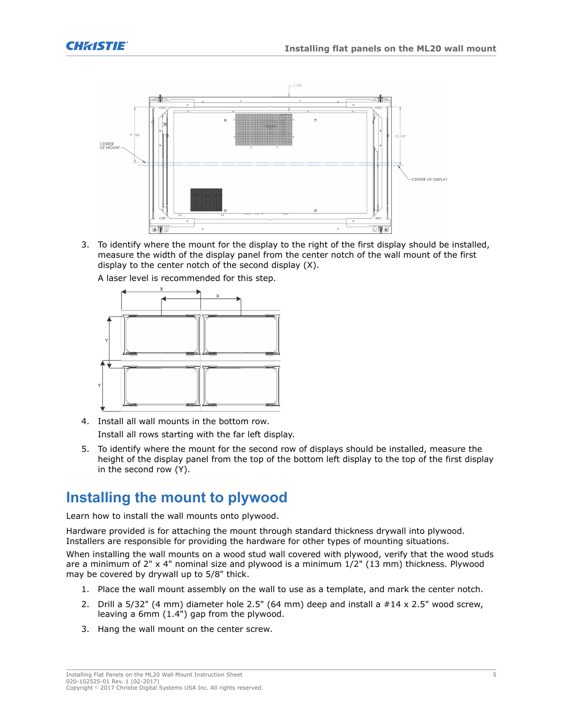

3. To identify where the mount for the display to the right of the first display should be installed, measure the width of the display panel from the center notch of the wall mount of the first display to the center notch of the second display (X).



A laser level is recommended for this step.

- 4. Install all wall mounts in the bottom row. Install all rows starting with the far left display.
- 5. To identify where the mount for the second row of displays should be installed, measure the height of the display panel from the top of the bottom left display to the top of the first display in the second row (Y).

#### **Installing the mount to plywood**

Learn how to install the wall mounts onto plywood.

Hardware provided is for attaching the mount through standard thickness drywall into plywood. Installers are responsible for providing the hardware for other types of mounting situations. When installing the wall mounts on a wood stud wall covered with plywood, verify that the wood studs are a minimum of 2" x 4" nominal size and plywood is a minimum 1/2" (13 mm) thickness. Plywood may be covered by drywall up to 5/8" thick.

- 1. Place the wall mount assembly on the wall to use as a template, and mark the center notch.
- 2. Drill a 5/32" (4 mm) diameter hole 2.5" (64 mm) deep and install a #14 x 2.5" wood screw, leaving a 6mm (1.4") gap from the plywood.
- 3. Hang the wall mount on the center screw.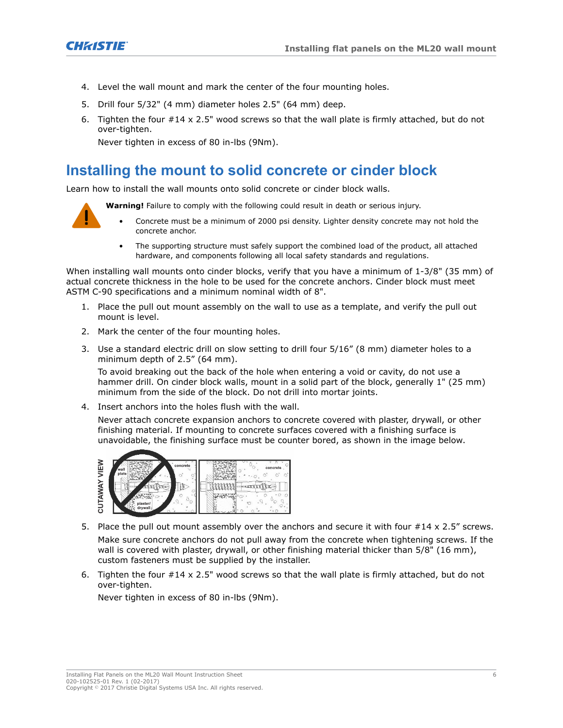

- 4. Level the wall mount and mark the center of the four mounting holes.
- 5. Drill four 5/32" (4 mm) diameter holes 2.5" (64 mm) deep.
- 6. Tighten the four #14 x 2.5" wood screws so that the wall plate is firmly attached, but do not over-tighten.

Never tighten in excess of 80 in-lbs (9Nm).

#### **Installing the mount to solid concrete or cinder block**

Learn how to install the wall mounts onto solid concrete or cinder block walls.

**Warning!** Failure to comply with the following could result in death or serious injury.



- Concrete must be a minimum of 2000 psi density. Lighter density concrete may not hold the concrete anchor.
- The supporting structure must safely support the combined load of the product, all attached hardware, and components following all local safety standards and regulations.

When installing wall mounts onto cinder blocks, verify that you have a minimum of 1-3/8" (35 mm) of actual concrete thickness in the hole to be used for the concrete anchors. Cinder block must meet ASTM C-90 specifications and a minimum nominal width of 8".

- 1. Place the pull out mount assembly on the wall to use as a template, and verify the pull out mount is level.
- 2. Mark the center of the four mounting holes.
- 3. Use a standard electric drill on slow setting to drill four 5/16" (8 mm) diameter holes to a minimum depth of 2.5" (64 mm).

To avoid breaking out the back of the hole when entering a void or cavity, do not use a hammer drill. On cinder block walls, mount in a solid part of the block, generally 1" (25 mm) minimum from the side of the block. Do not drill into mortar joints.

4. Insert anchors into the holes flush with the wall.

Never attach concrete expansion anchors to concrete covered with plaster, drywall, or other finishing material. If mounting to concrete surfaces covered with a finishing surface is unavoidable, the finishing surface must be counter bored, as shown in the image below.



- 5. Place the pull out mount assembly over the anchors and secure it with four #14 x 2.5" screws. Make sure concrete anchors do not pull away from the concrete when tightening screws. If the wall is covered with plaster, drywall, or other finishing material thicker than 5/8" (16 mm), custom fasteners must be supplied by the installer.
- 6. Tighten the four #14 x 2.5" wood screws so that the wall plate is firmly attached, but do not over-tighten.

Never tighten in excess of 80 in-lbs (9Nm).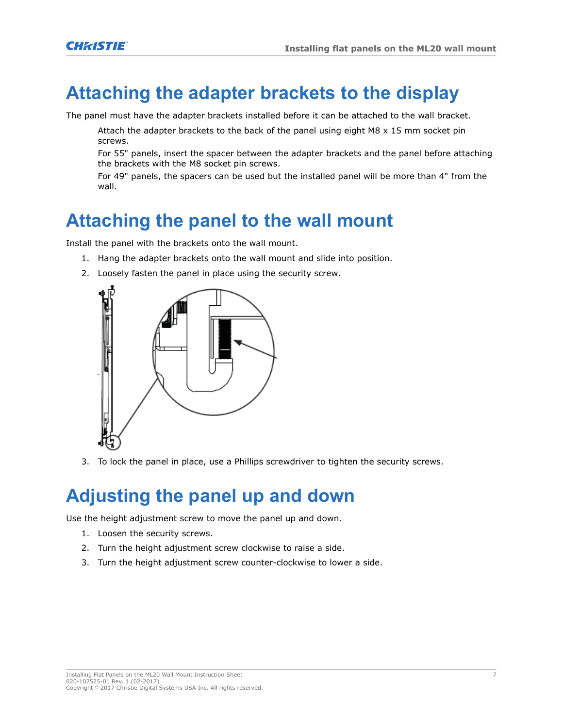## **Attaching the adapter brackets to the display**

The panel must have the adapter brackets installed before it can be attached to the wall bracket.

Attach the adapter brackets to the back of the panel using eight M8  $\times$  15 mm socket pin screws.

For 55" panels, insert the spacer between the adapter brackets and the panel before attaching the brackets with the M8 socket pin screws.

For 49" panels, the spacers can be used but the installed panel will be more than 4" from the wall.

## **Attaching the panel to the wall mount**

Install the panel with the brackets onto the wall mount.

- 1. Hang the adapter brackets onto the wall mount and slide into position.
- 2. Loosely fasten the panel in place using the security screw.



3. To lock the panel in place, use a Phillips screwdriver to tighten the security screws.

## **Adjusting the panel up and down**

Use the height adjustment screw to move the panel up and down.

- 1. Loosen the security screws.
- 2. Turn the height adjustment screw clockwise to raise a side.
- 3. Turn the height adjustment screw counter-clockwise to lower a side.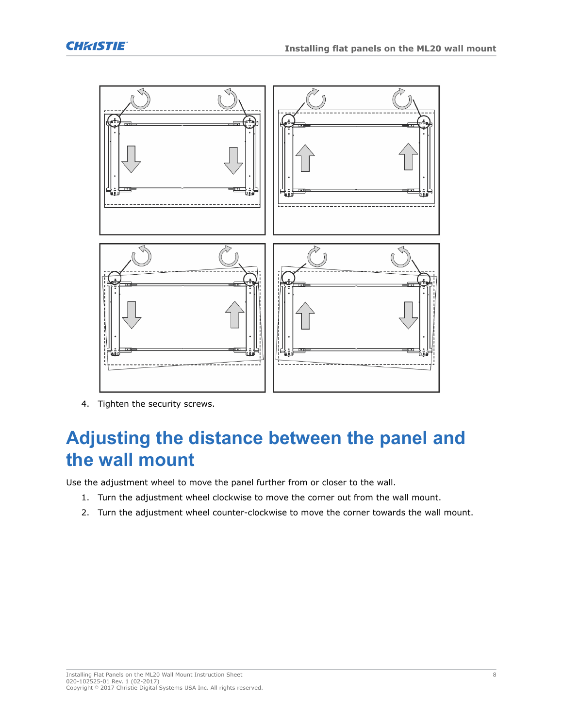



4. Tighten the security screws.

## **Adjusting the distance between the panel and the wall mount**

Use the adjustment wheel to move the panel further from or closer to the wall.

- 1. Turn the adjustment wheel clockwise to move the corner out from the wall mount.
- 2. Turn the adjustment wheel counter-clockwise to move the corner towards the wall mount.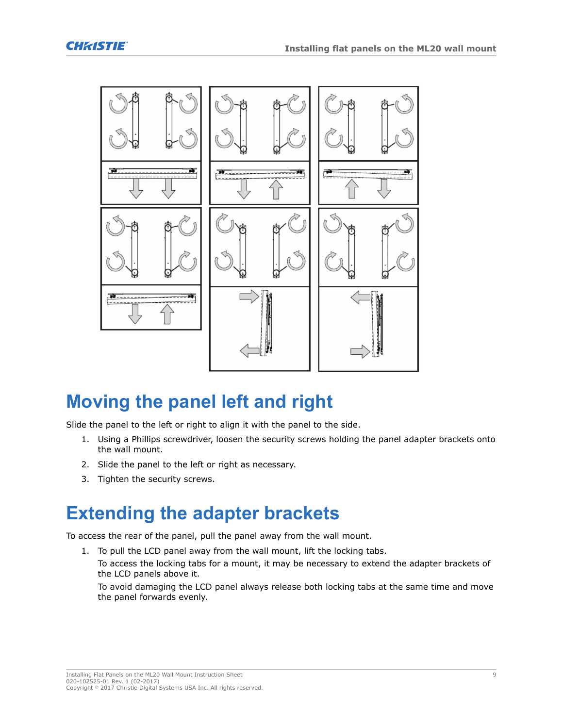

## **Moving the panel left and right**

Slide the panel to the left or right to align it with the panel to the side.

- 1. Using a Phillips screwdriver, loosen the security screws holding the panel adapter brackets onto the wall mount.
- 2. Slide the panel to the left or right as necessary.
- 3. Tighten the security screws.

## **Extending the adapter brackets**

To access the rear of the panel, pull the panel away from the wall mount.

1. To pull the LCD panel away from the wall mount, lift the locking tabs.

To access the locking tabs for a mount, it may be necessary to extend the adapter brackets of the LCD panels above it.

To avoid damaging the LCD panel always release both locking tabs at the same time and move the panel forwards evenly.